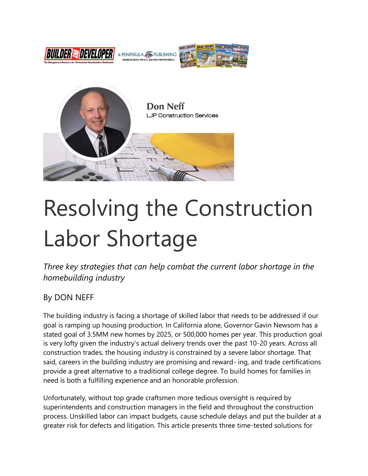



# Resolving the Construction Labor Shortage

*Three key strategies that can help combat the current labor shortage in the homebuilding industry*

#### By DON NEFF

The building industry is facing a shortage of skilled labor that needs to be addressed if our goal is ramping up housing production. In California alone, Governor Gavin Newsom has a stated goal of 3.5MM new homes by 2025, or 500,000 homes per year. This production goal is very lofty given the industry's actual delivery trends over the past 10-20 years. Across all construction trades, the housing industry is constrained by a severe labor shortage. That said, careers in the building industry are promising and reward- ing, and trade certifications provide a great alternative to a traditional college degree. To build homes for families in need is both a fulfilling experience and an honorable profession.

Unfortunately, without top grade craftsmen more tedious oversight is required by superintendents and construction managers in the field and throughout the construction process. Unskilled labor can impact budgets, cause schedule delays and put the builder at a greater risk for defects and litigation. This article presents three time-tested solutions for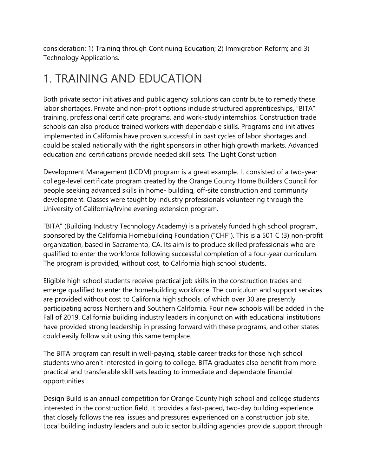consideration: 1) Training through Continuing Education; 2) Immigration Reform; and 3) Technology Applications.

#### 1. TRAINING AND EDUCATION

Both private sector initiatives and public agency solutions can contribute to remedy these labor shortages. Private and non-profit options include structured apprenticeships, "BITA" training, professional certificate programs, and work-study internships. Construction trade schools can also produce trained workers with dependable skills. Programs and initiatives implemented in California have proven successful in past cycles of labor shortages and could be scaled nationally with the right sponsors in other high growth markets. Advanced education and certifications provide needed skill sets. The Light Construction

Development Management (LCDM) program is a great example. It consisted of a two-year college-level certificate program created by the Orange County Home Builders Council for people seeking advanced skills in home- building, off-site construction and community development. Classes were taught by industry professionals volunteering through the University of California/Irvine evening extension program.

"BITA" (Building Industry Technology Academy) is a privately funded high school program, sponsored by the California Homebuilding Foundation ("CHF"). This is a 501 C (3) non-profit organization, based in Sacramento, CA. Its aim is to produce skilled professionals who are qualified to enter the workforce following successful completion of a four-year curriculum. The program is provided, without cost, to California high school students.

Eligible high school students receive practical job skills in the construction trades and emerge qualified to enter the homebuilding workforce. The curriculum and support services are provided without cost to California high schools, of which over 30 are presently participating across Northern and Southern California. Four new schools will be added in the Fall of 2019. California building industry leaders in conjunction with educational institutions have provided strong leadership in pressing forward with these programs, and other states could easily follow suit using this same template.

The BITA program can result in well-paying, stable career tracks for those high school students who aren't interested in going to college. BITA graduates also benefit from more practical and transferable skill sets leading to immediate and dependable financial opportunities.

Design Build is an annual competition for Orange County high school and college students interested in the construction field. It provides a fast-paced, two-day building experience that closely follows the real issues and pressures experienced on a construction job site. Local building industry leaders and public sector building agencies provide support through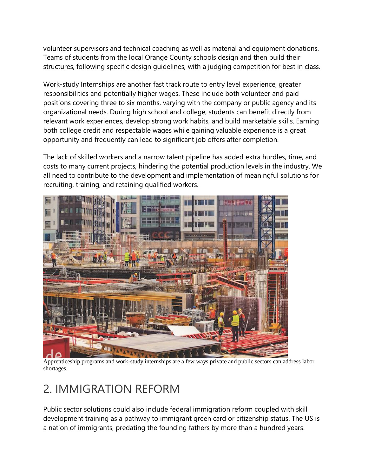volunteer supervisors and technical coaching as well as material and equipment donations. Teams of students from the local Orange County schools design and then build their structures, following specific design guidelines, with a judging competition for best in class.

Work-study Internships are another fast track route to entry level experience, greater responsibilities and potentially higher wages. These include both volunteer and paid positions covering three to six months, varying with the company or public agency and its organizational needs. During high school and college, students can benefit directly from relevant work experiences, develop strong work habits, and build marketable skills. Earning both college credit and respectable wages while gaining valuable experience is a great opportunity and frequently can lead to significant job offers after completion.

The lack of skilled workers and a narrow talent pipeline has added extra hurdles, time, and costs to many current projects, hindering the potential production levels in the industry. We all need to contribute to the development and implementation of meaningful solutions for recruiting, training, and retaining qualified workers.



Apprenticeship programs and work-study internships are a few ways private and public sectors can address labor shortages.

## 2. IMMIGRATION REFORM

Public sector solutions could also include federal immigration reform coupled with skill development training as a pathway to immigrant green card or citizenship status. The US is a nation of immigrants, predating the founding fathers by more than a hundred years.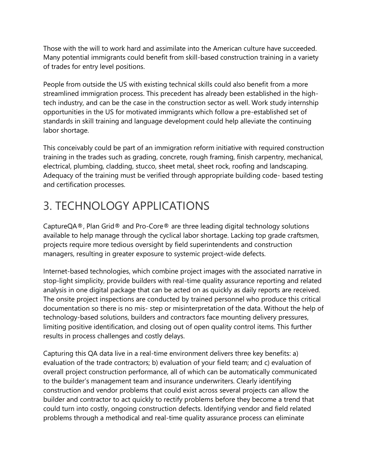Those with the will to work hard and assimilate into the American culture have succeeded. Many potential immigrants could benefit from skill-based construction training in a variety of trades for entry level positions.

People from outside the US with existing technical skills could also benefit from a more streamlined immigration process. This precedent has already been established in the hightech industry, and can be the case in the construction sector as well. Work study internship opportunities in the US for motivated immigrants which follow a pre-established set of standards in skill training and language development could help alleviate the continuing labor shortage.

This conceivably could be part of an immigration reform initiative with required construction training in the trades such as grading, concrete, rough framing, finish carpentry, mechanical, electrical, plumbing, cladding, stucco, sheet metal, sheet rock, roofing and landscaping. Adequacy of the training must be verified through appropriate building code- based testing and certification processes.

#### 3. TECHNOLOGY APPLICATIONS

CaptureQA®, Plan Grid® and Pro-Core® are three leading digital technology solutions available to help manage through the cyclical labor shortage. Lacking top grade craftsmen, projects require more tedious oversight by field superintendents and construction managers, resulting in greater exposure to systemic project-wide defects.

Internet-based technologies, which combine project images with the associated narrative in stop-light simplicity, provide builders with real-time quality assurance reporting and related analysis in one digital package that can be acted on as quickly as daily reports are received. The onsite project inspections are conducted by trained personnel who produce this critical documentation so there is no mis- step or misinterpretation of the data. Without the help of technology-based solutions, builders and contractors face mounting delivery pressures, limiting positive identification, and closing out of open quality control items. This further results in process challenges and costly delays.

Capturing this QA data live in a real-time environment delivers three key benefits: a) evaluation of the trade contractors; b) evaluation of your field team; and c) evaluation of overall project construction performance, all of which can be automatically communicated to the builder's management team and insurance underwriters. Clearly identifying construction and vendor problems that could exist across several projects can allow the builder and contractor to act quickly to rectify problems before they become a trend that could turn into costly, ongoing construction defects. Identifying vendor and field related problems through a methodical and real-time quality assurance process can eliminate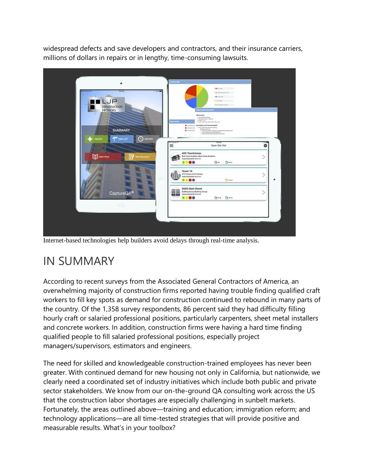widespread defects and save developers and contractors, and their insurance carriers, millions of dollars in repairs or in lengthy, time-consuming lawsuits.



Internet-based technologies help builders avoid delays through real-time analysis.

## IN SUMMARY

According to recent surveys from the Associated General Contractors of America, an overwhelming majority of construction firms reported having trouble finding qualified craft workers to fill key spots as demand for construction continued to rebound in many parts of the country. Of the 1,358 survey respondents, 86 percent said they had difficulty filling hourly craft or salaried professional positions, particularly carpenters, sheet metal installers and concrete workers. In addition, construction firms were having a hard time finding qualified people to fill salaried professional positions, especially project managers/supervisors, estimators and engineers.

The need for skilled and knowledgeable construction-trained employees has never been greater. With continued demand for new housing not only in California, but nationwide, we clearly need a coordinated set of industry initiatives which include both public and private sector stakeholders. We know from our on-the-ground QA consulting work across the US that the construction labor shortages are especially challenging in sunbelt markets. Fortunately, the areas outlined above—training and education; immigration reform; and technology applications—are all time-tested strategies that will provide positive and measurable results. What's in your toolbox?